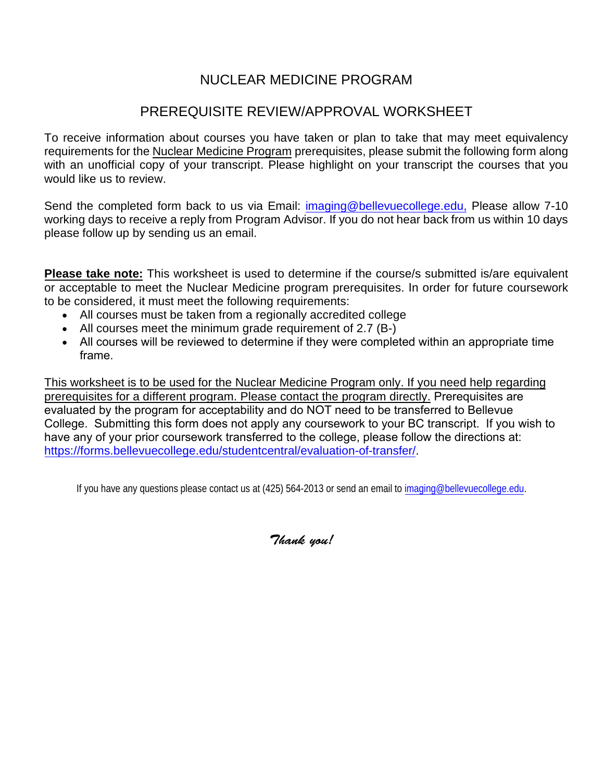## NUCLEAR MEDICINE PROGRAM

## PREREQUISITE REVIEW/APPROVAL WORKSHEET

To receive information about courses you have taken or plan to take that may meet equivalency requirements for the Nuclear Medicine Program prerequisites, please submit the following form along with an unofficial copy of your transcript. Please highlight on your transcript the courses that you would like us to review.

Send the completed form back to us via Email: [imaging@bellevuecollege.edu,](mailto:imaging@bellevuecollege.edu) Please allow 7-10 working days to receive a reply from Program Advisor. If you do not hear back from us within 10 days please follow up by sending us an email.

**Please take note:** This worksheet is used to determine if the course/s submitted is/are equivalent or acceptable to meet the Nuclear Medicine program prerequisites. In order for future coursework to be considered, it must meet the following requirements:

- All courses must be taken from a regionally accredited college
- All courses meet the minimum grade requirement of 2.7 (B-)
- All courses will be reviewed to determine if they were completed within an appropriate time frame.

This worksheet is to be used for the Nuclear Medicine Program only. If you need help regarding prerequisites for a different program. Please contact the program directly. Prerequisites are evaluated by the program for acceptability and do NOT need to be transferred to Bellevue College. Submitting this form does not apply any coursework to your BC transcript. If you wish to [have any of your prior coursework transferred to the college, please foll](https://forms.bellevuecollege.edu/studentcentral/evaluation-of-transfer/)ow the directions at: https://forms.bellevuecollege.edu/studentcentral/evaluation-of-transfer/.

If you have any questions please contact us at (425) 564-2013 or send an email to [imaging@bellevuecollege.edu.](mailto:imaging@bellevuecollege.edu)

*Thank you!*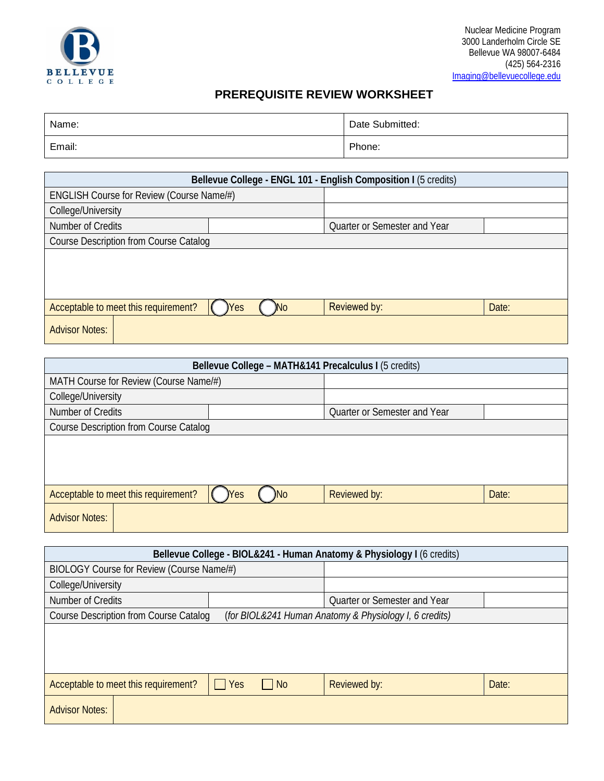

## **PREREQUISITE REVIEW WORKSHEET**

| Name:  | Date Submitted: |
|--------|-----------------|
| Email: | Phone:          |

| Bellevue College - ENGL 101 - English Composition I (5 credits)              |  |                              |  |  |  |
|------------------------------------------------------------------------------|--|------------------------------|--|--|--|
| ENGLISH Course for Review (Course Name/#)                                    |  |                              |  |  |  |
| College/University                                                           |  |                              |  |  |  |
| Number of Credits                                                            |  | Quarter or Semester and Year |  |  |  |
| <b>Course Description from Course Catalog</b>                                |  |                              |  |  |  |
|                                                                              |  |                              |  |  |  |
|                                                                              |  |                              |  |  |  |
|                                                                              |  |                              |  |  |  |
| Reviewed by:<br>Acceptable to meet this requirement?<br>Date:<br>)No<br>)Yes |  |                              |  |  |  |
| <b>Advisor Notes:</b>                                                        |  |                              |  |  |  |

| Bellevue College - MATH&141 Precalculus I (5 credits)                              |  |                              |  |  |
|------------------------------------------------------------------------------------|--|------------------------------|--|--|
| MATH Course for Review (Course Name/#)                                             |  |                              |  |  |
| College/University                                                                 |  |                              |  |  |
| Number of Credits                                                                  |  | Quarter or Semester and Year |  |  |
| Course Description from Course Catalog                                             |  |                              |  |  |
|                                                                                    |  |                              |  |  |
|                                                                                    |  |                              |  |  |
|                                                                                    |  |                              |  |  |
| Acceptable to meet this requirement?<br>Reviewed by:<br>Date:<br>)No<br><b>Yes</b> |  |                              |  |  |
| <b>Advisor Notes:</b>                                                              |  |                              |  |  |

| Bellevue College - BIOL&241 - Human Anatomy & Physiology I (6 credits)                        |  |                                                        |  |  |
|-----------------------------------------------------------------------------------------------|--|--------------------------------------------------------|--|--|
| BIOLOGY Course for Review (Course Name/#)                                                     |  |                                                        |  |  |
| College/University                                                                            |  |                                                        |  |  |
| Number of Credits                                                                             |  | Quarter or Semester and Year                           |  |  |
| <b>Course Description from Course Catalog</b>                                                 |  | (for BIOL&241 Human Anatomy & Physiology I, 6 credits) |  |  |
|                                                                                               |  |                                                        |  |  |
|                                                                                               |  |                                                        |  |  |
|                                                                                               |  |                                                        |  |  |
| Acceptable to meet this requirement?<br>$\Box$ Yes<br>Date:<br>Reviewed by:<br>N <sub>0</sub> |  |                                                        |  |  |
| <b>Advisor Notes:</b>                                                                         |  |                                                        |  |  |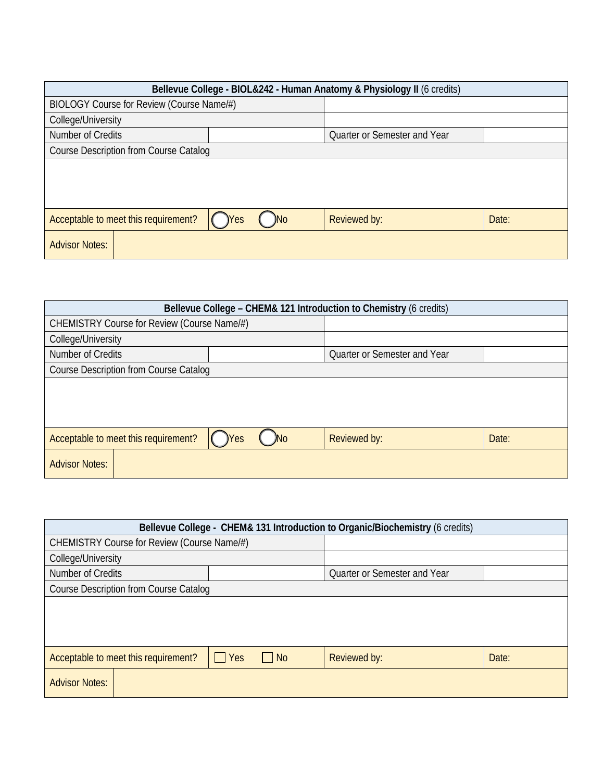| Bellevue College - BIOL&242 - Human Anatomy & Physiology II (6 credits)            |  |  |                              |  |
|------------------------------------------------------------------------------------|--|--|------------------------------|--|
| BIOLOGY Course for Review (Course Name/#)                                          |  |  |                              |  |
| College/University                                                                 |  |  |                              |  |
| Number of Credits                                                                  |  |  | Quarter or Semester and Year |  |
| <b>Course Description from Course Catalog</b>                                      |  |  |                              |  |
|                                                                                    |  |  |                              |  |
|                                                                                    |  |  |                              |  |
|                                                                                    |  |  |                              |  |
|                                                                                    |  |  |                              |  |
| Acceptable to meet this requirement?<br>Reviewed by:<br>Date:<br>)No<br><b>Yes</b> |  |  |                              |  |
| <b>Advisor Notes:</b>                                                              |  |  |                              |  |
|                                                                                    |  |  |                              |  |

| Bellevue College - CHEM& 121 Introduction to Chemistry (6 credits)                 |  |                              |  |  |
|------------------------------------------------------------------------------------|--|------------------------------|--|--|
| CHEMISTRY Course for Review (Course Name/#)                                        |  |                              |  |  |
| College/University                                                                 |  |                              |  |  |
| Number of Credits                                                                  |  | Quarter or Semester and Year |  |  |
| <b>Course Description from Course Catalog</b>                                      |  |                              |  |  |
|                                                                                    |  |                              |  |  |
|                                                                                    |  |                              |  |  |
|                                                                                    |  |                              |  |  |
| Acceptable to meet this requirement?<br>Reviewed by:<br><b>No</b><br>Date:<br>)Yes |  |                              |  |  |
| <b>Advisor Notes:</b>                                                              |  |                              |  |  |

| Bellevue College - CHEM& 131 Introduction to Organic/Biochemistry (6 credits)            |  |                              |  |  |
|------------------------------------------------------------------------------------------|--|------------------------------|--|--|
| CHEMISTRY Course for Review (Course Name/#)                                              |  |                              |  |  |
| College/University                                                                       |  |                              |  |  |
| Number of Credits                                                                        |  | Quarter or Semester and Year |  |  |
| <b>Course Description from Course Catalog</b>                                            |  |                              |  |  |
|                                                                                          |  |                              |  |  |
|                                                                                          |  |                              |  |  |
|                                                                                          |  |                              |  |  |
| $\Box$ Yes<br>Acceptable to meet this requirement?<br>$\Box$ No<br>Reviewed by:<br>Date: |  |                              |  |  |
| <b>Advisor Notes:</b>                                                                    |  |                              |  |  |